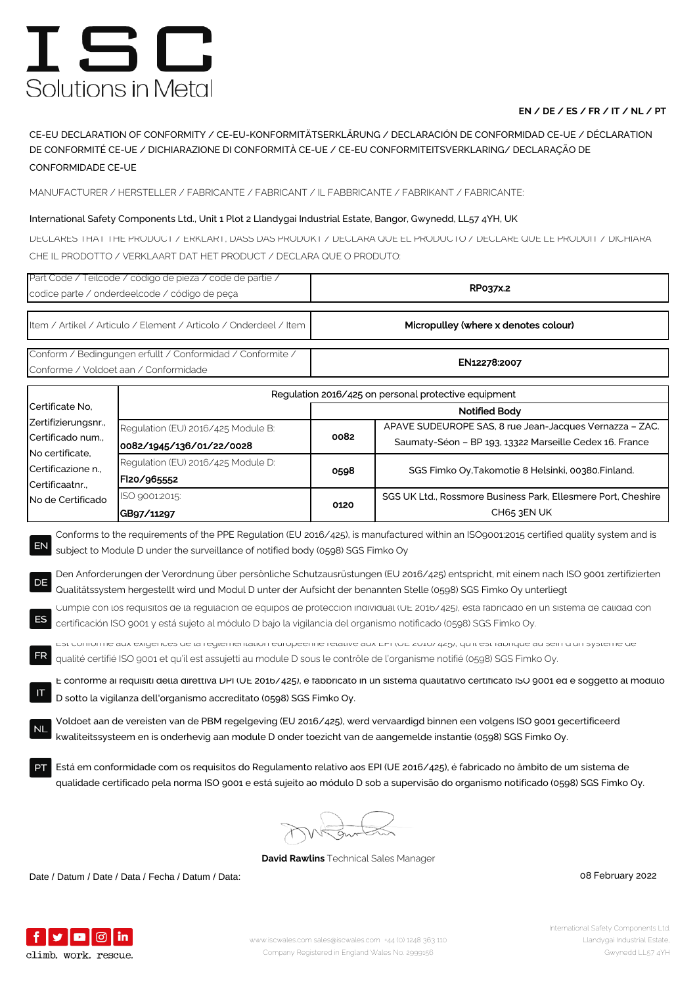# ISC Solutions in Metal

### **EN / DE / ES / FR / IT / NL / PT**

CE-EU DECLARATION OF CONFORMITY / CE-EU-KONFORMITÄTSERKLÄRUNG / DECLARACIÓN DE CONFORMIDAD CE-UE / DÉCLARATION DE CONFORMITÉ CE-UE / DICHIARAZIONE DI CONFORMITÀ CE-UE / CE-EU CONFORMITEITSVERKLARING/ DECLARAÇÃO DE CONFORMIDADE CE-UE

MANUFACTURER / HERSTELLER / FABRICANTE / FABRICANT / IL FABBRICANTE / FABRIKANT / FABRICANTE:

### International Safety Components Ltd., Unit 1 Plot 2 Llandygai Industrial Estate, Bangor, Gwynedd, LL57 4YH, UK

DECLARES THAT THE PRODUCT / ERKLÄRT, DASS DAS PRODUKT / DECLARA QUE EL PRODUCTO / DÉCLARE QUE LE PRODUIT / DICHIARA CHE IL PRODOTTO / VERKLAART DAT HET PRODUCT / DECLARA QUE O PRODUTO:

| Part Code / Teilcode / código de pieza / code de partie /<br>codice parte / onderdeelcode / código de peça                                                                                                                                                                                                                                                                                                                                                                                                                                                                                                                                                                                                                                                                                                                                                                                                                                                                                                                                                                                                                                                                                                                                                                                                                                                                                                                                                                                                                                                                |                                                                | RP037x.2                             |                                                                                                                    |  |  |
|---------------------------------------------------------------------------------------------------------------------------------------------------------------------------------------------------------------------------------------------------------------------------------------------------------------------------------------------------------------------------------------------------------------------------------------------------------------------------------------------------------------------------------------------------------------------------------------------------------------------------------------------------------------------------------------------------------------------------------------------------------------------------------------------------------------------------------------------------------------------------------------------------------------------------------------------------------------------------------------------------------------------------------------------------------------------------------------------------------------------------------------------------------------------------------------------------------------------------------------------------------------------------------------------------------------------------------------------------------------------------------------------------------------------------------------------------------------------------------------------------------------------------------------------------------------------------|----------------------------------------------------------------|--------------------------------------|--------------------------------------------------------------------------------------------------------------------|--|--|
| Item / Artikel / Articulo / Element / Articolo / Onderdeel / Item                                                                                                                                                                                                                                                                                                                                                                                                                                                                                                                                                                                                                                                                                                                                                                                                                                                                                                                                                                                                                                                                                                                                                                                                                                                                                                                                                                                                                                                                                                         |                                                                | Micropulley (where x denotes colour) |                                                                                                                    |  |  |
| Conform / Bedingungen erfullt / Conformidad / Conformite /<br>Conforme / Voldoet aan / Conformidade                                                                                                                                                                                                                                                                                                                                                                                                                                                                                                                                                                                                                                                                                                                                                                                                                                                                                                                                                                                                                                                                                                                                                                                                                                                                                                                                                                                                                                                                       |                                                                | EN12278:2007                         |                                                                                                                    |  |  |
|                                                                                                                                                                                                                                                                                                                                                                                                                                                                                                                                                                                                                                                                                                                                                                                                                                                                                                                                                                                                                                                                                                                                                                                                                                                                                                                                                                                                                                                                                                                                                                           | Regulation 2016/425 on personal protective equipment           |                                      |                                                                                                                    |  |  |
| Certificate No.                                                                                                                                                                                                                                                                                                                                                                                                                                                                                                                                                                                                                                                                                                                                                                                                                                                                                                                                                                                                                                                                                                                                                                                                                                                                                                                                                                                                                                                                                                                                                           | Notified Body                                                  |                                      |                                                                                                                    |  |  |
| Zertifizierungsnr.,<br>Certificado num.,<br>No certificate,<br>Certificazione n.,<br>Certificaatnr.,<br>No de Certificado                                                                                                                                                                                                                                                                                                                                                                                                                                                                                                                                                                                                                                                                                                                                                                                                                                                                                                                                                                                                                                                                                                                                                                                                                                                                                                                                                                                                                                                 | Regulation (EU) 2016/425 Module B:<br>0082/1945/136/01/22/0028 | 0082                                 | APAVE SUDEUROPE SAS, 8 rue Jean-Jacques Vernazza - ZAC.<br>Saumaty-Séon - BP 193, 13322 Marseille Cedex 16. France |  |  |
|                                                                                                                                                                                                                                                                                                                                                                                                                                                                                                                                                                                                                                                                                                                                                                                                                                                                                                                                                                                                                                                                                                                                                                                                                                                                                                                                                                                                                                                                                                                                                                           | Regulation (EU) 2016/425 Module D:<br>FI20/965552              | 0598                                 | SGS Fimko Oy, Takomotie 8 Helsinki, 00380. Finland.                                                                |  |  |
|                                                                                                                                                                                                                                                                                                                                                                                                                                                                                                                                                                                                                                                                                                                                                                                                                                                                                                                                                                                                                                                                                                                                                                                                                                                                                                                                                                                                                                                                                                                                                                           | ISO 9001:2015:<br>GB97/11297                                   | 0120                                 | SGS UK Ltd., Rossmore Business Park, Ellesmere Port, Cheshire<br>CH65 3EN UK                                       |  |  |
| Den Anforderungen der Verordnung über persönliche Schutzausrüstungen (EU 2016/425) entspricht, mit einem nach ISO 9001 zertifizierten<br>DE<br>Qualitätssystem hergestellt wird und Modul D unter der Aufsicht der benannten Stelle (0598) SGS Fimko Oy unterliegt<br>Cumple con los requisitos de la regulacion de equipos de proteccion individual (UE 2016/425), esta fabricado en un sistema de calidad con<br>certificación ISO 9001 y está sujeto al módulo D bajo la vigilancia del organismo notificado (0598) SGS Fimko Oy.<br>EST CONFORTIE dux exigences de la reglementation europeenne relative dux EPT (OE 2010/425), qu'il est raphque du sein d'un système de<br>qualité certifié ISO 9001 et qu'il est assujetti au module D sous le contrôle de l'organisme notifié (0598) SGS Fimko Oy.<br>E conforme ai requisiti della direttiva DPI (UE 2016/425), e fabbricato in un sistema qualitativo certificato ISO 9001 ed e soggetto al modulo<br>ΙT<br>D sotto la vigilanza dell'organismo accreditato (0598) SGS Fimko Oy.<br>Voldoet aan de vereisten van de PBM regelgeving (EU 2016/425), werd vervaardigd binnen een volgens ISO 9001 gecertificeerd<br>kwaliteitssysteem en is onderhevig aan module D onder toezicht van de aangemelde instantie (0598) SGS Fimko Oy.<br>Está em conformidade com os requisitos do Regulamento relativo aos EPI (UE 2016/425), é fabricado no âmbito de um sistema de<br>qualidade certificado pela norma ISO 9001 e está sujeito ao módulo D sob a supervisão do organismo notificado (0598) SGS Fimko Oy.<br>Samt |                                                                |                                      |                                                                                                                    |  |  |

**David Rawlins** Technical Sales Manager

Date / Datum / Date / Data / Fecha / Datum / Data: 08 February 2022